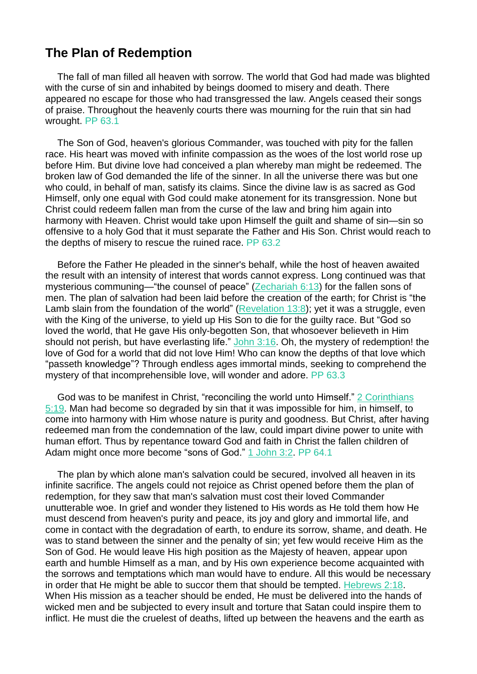## **The Plan of Redemption**

The fall of man filled all heaven with sorrow. The world that God had made was blighted with the curse of sin and inhabited by beings doomed to misery and death. There appeared no escape for those who had transgressed the law. Angels ceased their songs of praise. Throughout the heavenly courts there was mourning for the ruin that sin had wrought. PP 63.1

The Son of God, heaven's glorious Commander, was touched with pity for the fallen race. His heart was moved with infinite compassion as the woes of the lost world rose up before Him. But divine love had conceived a plan whereby man might be redeemed. The broken law of God demanded the life of the sinner. In all the universe there was but one who could, in behalf of man, satisfy its claims. Since the divine law is as sacred as God Himself, only one equal with God could make atonement for its transgression. None but Christ could redeem fallen man from the curse of the law and bring him again into harmony with Heaven. Christ would take upon Himself the guilt and shame of sin—sin so offensive to a holy God that it must separate the Father and His Son. Christ would reach to the depths of misery to rescue the ruined race. PP 63.2

Before the Father He pleaded in the sinner's behalf, while the host of heaven awaited the result with an intensity of interest that words cannot express. Long continued was that mysterious communing—"the counsel of peace" [\(Zechariah](https://m.egwwritings.org/en/book/1965.46878#46878) 6:13) for the fallen sons of men. The plan of salvation had been laid before the creation of the earth; for Christ is "the Lamb slain from the foundation of the world" [\(Revelation](https://m.egwwritings.org/en/book/1965.63081#63081) 13:8); yet it was a struggle, even with the King of the universe, to yield up His Son to die for the guilty race. But "God so loved the world, that He gave His only-begotten Son, that whosoever believeth in Him should not perish, but have everlasting life." [John](https://m.egwwritings.org/en/book/1965.53318#53318) 3:16. Oh, the mystery of redemption! the love of God for a world that did not love Him! Who can know the depths of that love which "passeth knowledge"? Through endless ages immortal minds, seeking to comprehend the mystery of that incomprehensible love, will wonder and adore. PP 63.3

God was to be manifest in Christ, "reconciling the world unto Himself." 2 [Corinthians](https://m.egwwritings.org/en/book/1965.58925#58925) [5:19.](https://m.egwwritings.org/en/book/1965.58925#58925) Man had become so degraded by sin that it was impossible for him, in himself, to come into harmony with Him whose nature is purity and goodness. But Christ, after having redeemed man from the condemnation of the law, could impart divine power to unite with human effort. Thus by repentance toward God and faith in Christ the fallen children of Adam might once more become "sons of God." 1 [John](https://m.egwwritings.org/en/book/1965.62389#62389) 3:2. PP 64.1

The plan by which alone man's salvation could be secured, involved all heaven in its infinite sacrifice. The angels could not rejoice as Christ opened before them the plan of redemption, for they saw that man's salvation must cost their loved Commander unutterable woe. In grief and wonder they listened to His words as He told them how He must descend from heaven's purity and peace, its joy and glory and immortal life, and come in contact with the degradation of earth, to endure its sorrow, shame, and death. He was to stand between the sinner and the penalty of sin; yet few would receive Him as the Son of God. He would leave His high position as the Majesty of heaven, appear upon earth and humble Himself as a man, and by His own experience become acquainted with the sorrows and temptations which man would have to endure. All this would be necessary in order that He might be able to succor them that should be tempted. [Hebrews](https://m.egwwritings.org/en/book/1965.61186#61186) 2:18. When His mission as a teacher should be ended, He must be delivered into the hands of wicked men and be subjected to every insult and torture that Satan could inspire them to inflict. He must die the cruelest of deaths, lifted up between the heavens and the earth as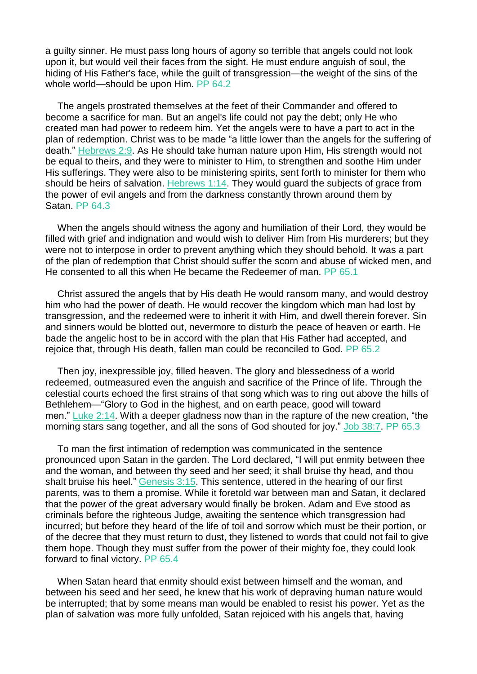a guilty sinner. He must pass long hours of agony so terrible that angels could not look upon it, but would veil their faces from the sight. He must endure anguish of soul, the hiding of His Father's face, while the guilt of transgression—the weight of the sins of the whole world—should be upon Him. PP 64.2

The angels prostrated themselves at the feet of their Commander and offered to become a sacrifice for man. But an angel's life could not pay the debt; only He who created man had power to redeem him. Yet the angels were to have a part to act in the plan of redemption. Christ was to be made "a little lower than the angels for the suffering of death." [Hebrews](https://m.egwwritings.org/en/book/1965.61168#61168) 2:9. As He should take human nature upon Him, His strength would not be equal to theirs, and they were to minister to Him, to strengthen and soothe Him under His sufferings. They were also to be ministering spirits, sent forth to minister for them who should be heirs of salvation. [Hebrews](https://m.egwwritings.org/en/book/1965.61149#61149) 1:14. They would guard the subjects of grace from the power of evil angels and from the darkness constantly thrown around them by Satan. PP 64.3

When the angels should witness the agony and humiliation of their Lord, they would be filled with grief and indignation and would wish to deliver Him from His murderers; but they were not to interpose in order to prevent anything which they should behold. It was a part of the plan of redemption that Christ should suffer the scorn and abuse of wicked men, and He consented to all this when He became the Redeemer of man. PP 65.1

Christ assured the angels that by His death He would ransom many, and would destroy him who had the power of death. He would recover the kingdom which man had lost by transgression, and the redeemed were to inherit it with Him, and dwell therein forever. Sin and sinners would be blotted out, nevermore to disturb the peace of heaven or earth. He bade the angelic host to be in accord with the plan that His Father had accepted, and rejoice that, through His death, fallen man could be reconciled to God. PP 65.2

Then joy, inexpressible joy, filled heaven. The glory and blessedness of a world redeemed, outmeasured even the anguish and sacrifice of the Prince of life. Through the celestial courts echoed the first strains of that song which was to ring out above the hills of Bethlehem—"Glory to God in the highest, and on earth peace, good will toward men." [Luke](https://m.egwwritings.org/en/book/1965.50994#50994) 2:14. With a deeper gladness now than in the rapture of the new creation, "the morning stars sang together, and all the sons of God shouted for joy." Job [38:7.](https://m.egwwritings.org/en/book/1965.28095#28095) PP 65.3

To man the first intimation of redemption was communicated in the sentence pronounced upon Satan in the garden. The Lord declared, "I will put enmity between thee and the woman, and between thy seed and her seed; it shall bruise thy head, and thou shalt bruise his heel." [Genesis](https://m.egwwritings.org/en/book/1965.147#147) 3:15. This sentence, uttered in the hearing of our first parents, was to them a promise. While it foretold war between man and Satan, it declared that the power of the great adversary would finally be broken. Adam and Eve stood as criminals before the righteous Judge, awaiting the sentence which transgression had incurred; but before they heard of the life of toil and sorrow which must be their portion, or of the decree that they must return to dust, they listened to words that could not fail to give them hope. Though they must suffer from the power of their mighty foe, they could look forward to final victory. PP 65.4

When Satan heard that enmity should exist between himself and the woman, and between his seed and her seed, he knew that his work of depraving human nature would be interrupted; that by some means man would be enabled to resist his power. Yet as the plan of salvation was more fully unfolded, Satan rejoiced with his angels that, having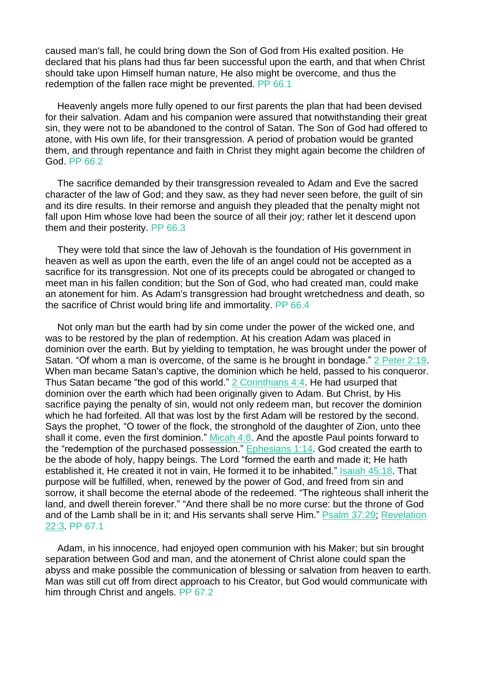caused man's fall, he could bring down the Son of God from His exalted position. He declared that his plans had thus far been successful upon the earth, and that when Christ should take upon Himself human nature, He also might be overcome, and thus the redemption of the fallen race might be prevented. PP 66.1

Heavenly angels more fully opened to our first parents the plan that had been devised for their salvation. Adam and his companion were assured that notwithstanding their great sin, they were not to be abandoned to the control of Satan. The Son of God had offered to atone, with His own life, for their transgression. A period of probation would be granted them, and through repentance and faith in Christ they might again become the children of God. PP 66.2

The sacrifice demanded by their transgression revealed to Adam and Eve the sacred character of the law of God; and they saw, as they had never seen before, the guilt of sin and its dire results. In their remorse and anguish they pleaded that the penalty might not fall upon Him whose love had been the source of all their joy; rather let it descend upon them and their posterity. PP 66.3

They were told that since the law of Jehovah is the foundation of His government in heaven as well as upon the earth, even the life of an angel could not be accepted as a sacrifice for its transgression. Not one of its precepts could be abrogated or changed to meet man in his fallen condition; but the Son of God, who had created man, could make an atonement for him. As Adam's transgression had brought wretchedness and death, so the sacrifice of Christ would bring life and immortality. PP 66.4

Not only man but the earth had by sin come under the power of the wicked one, and was to be restored by the plan of redemption. At his creation Adam was placed in dominion over the earth. But by yielding to temptation, he was brought under the power of Satan. "Of whom a man is overcome, of the same is he brought in bondage." 2 [Peter](https://m.egwwritings.org/en/book/1965.62260#62260) 2:19. When man became Satan's captive, the dominion which he held, passed to his conqueror. Thus Satan became "the god of this world." 2 [Corinthians](https://m.egwwritings.org/en/book/1965.58858#58858) 4:4. He had usurped that dominion over the earth which had been originally given to Adam. But Christ, by His sacrifice paying the penalty of sin, would not only redeem man, but recover the dominion which he had forfeited. All that was lost by the first Adam will be restored by the second. Says the prophet, "O tower of the flock, the stronghold of the daughter of Zion, unto thee shall it come, even the first dominion." [Micah](https://m.egwwritings.org/en/book/1965.46189#46189) 4:8. And the apostle Paul points forward to the "redemption of the purchased possession." [Ephesians](https://m.egwwritings.org/en/book/1965.59590#59590) 1:14. God created the earth to be the abode of holy, happy beings. The Lord "formed the earth and made it; He hath established it, He created it not in vain, He formed it to be inhabited." Isaiah [45:18.](https://m.egwwritings.org/en/book/1965.37908#37908) That purpose will be fulfilled, when, renewed by the power of God, and freed from sin and sorrow, it shall become the eternal abode of the redeemed. "The righteous shall inherit the land, and dwell therein forever." "And there shall be no more curse: but the throne of God and of the Lamb shall be in it; and His servants shall serve Him." [Psalm](https://m.egwwritings.org/en/book/1965.29495#29495) 37:29; [Revelation](https://m.egwwritings.org/en/book/1965.63424#63424) [22:3.](https://m.egwwritings.org/en/book/1965.63424#63424) PP 67.1

Adam, in his innocence, had enjoyed open communion with his Maker; but sin brought separation between God and man, and the atonement of Christ alone could span the abyss and make possible the communication of blessing or salvation from heaven to earth. Man was still cut off from direct approach to his Creator, but God would communicate with him through Christ and angels. PP 67.2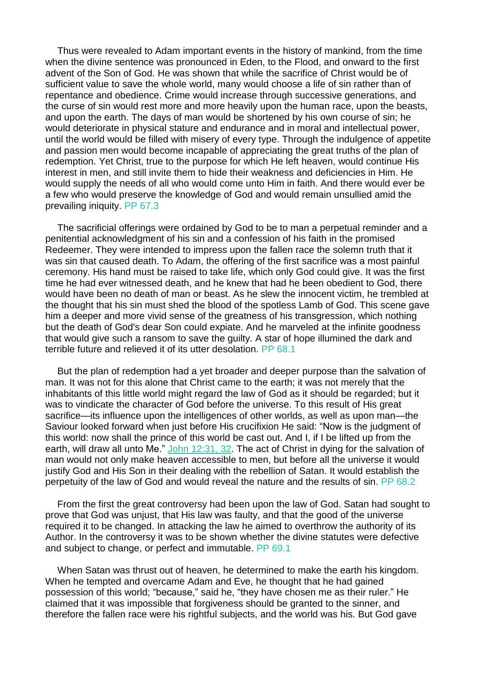Thus were revealed to Adam important events in the history of mankind, from the time when the divine sentence was pronounced in Eden, to the Flood, and onward to the first advent of the Son of God. He was shown that while the sacrifice of Christ would be of sufficient value to save the whole world, many would choose a life of sin rather than of repentance and obedience. Crime would increase through successive generations, and the curse of sin would rest more and more heavily upon the human race, upon the beasts, and upon the earth. The days of man would be shortened by his own course of sin; he would deteriorate in physical stature and endurance and in moral and intellectual power, until the world would be filled with misery of every type. Through the indulgence of appetite and passion men would become incapable of appreciating the great truths of the plan of redemption. Yet Christ, true to the purpose for which He left heaven, would continue His interest in men, and still invite them to hide their weakness and deficiencies in Him. He would supply the needs of all who would come unto Him in faith. And there would ever be a few who would preserve the knowledge of God and would remain unsullied amid the prevailing iniquity. PP 67.3

The sacrificial offerings were ordained by God to be to man a perpetual reminder and a penitential acknowledgment of his sin and a confession of his faith in the promised Redeemer. They were intended to impress upon the fallen race the solemn truth that it was sin that caused death. To Adam, the offering of the first sacrifice was a most painful ceremony. His hand must be raised to take life, which only God could give. It was the first time he had ever witnessed death, and he knew that had he been obedient to God, there would have been no death of man or beast. As he slew the innocent victim, he trembled at the thought that his sin must shed the blood of the spotless Lamb of God. This scene gave him a deeper and more vivid sense of the greatness of his transgression, which nothing but the death of God's dear Son could expiate. And he marveled at the infinite goodness that would give such a ransom to save the guilty. A star of hope illumined the dark and terrible future and relieved it of its utter desolation. PP 68.1

But the plan of redemption had a yet broader and deeper purpose than the salvation of man. It was not for this alone that Christ came to the earth; it was not merely that the inhabitants of this little world might regard the law of God as it should be regarded; but it was to vindicate the character of God before the universe. To this result of His great sacrifice—its influence upon the intelligences of other worlds, as well as upon man—the Saviour looked forward when just before His crucifixion He said: "Now is the judgment of this world: now shall the prince of this world be cast out. And I, if I be lifted up from the earth, will draw all unto Me." John [12:31,](https://m.egwwritings.org/en/book/1965.54277#54277) 32. The act of Christ in dying for the salvation of man would not only make heaven accessible to men, but before all the universe it would justify God and His Son in their dealing with the rebellion of Satan. It would establish the perpetuity of the law of God and would reveal the nature and the results of sin. PP 68.2

From the first the great controversy had been upon the law of God. Satan had sought to prove that God was unjust, that His law was faulty, and that the good of the universe required it to be changed. In attacking the law he aimed to overthrow the authority of its Author. In the controversy it was to be shown whether the divine statutes were defective and subject to change, or perfect and immutable. PP 69.1

When Satan was thrust out of heaven, he determined to make the earth his kingdom. When he tempted and overcame Adam and Eve, he thought that he had gained possession of this world; "because," said he, "they have chosen me as their ruler." He claimed that it was impossible that forgiveness should be granted to the sinner, and therefore the fallen race were his rightful subjects, and the world was his. But God gave